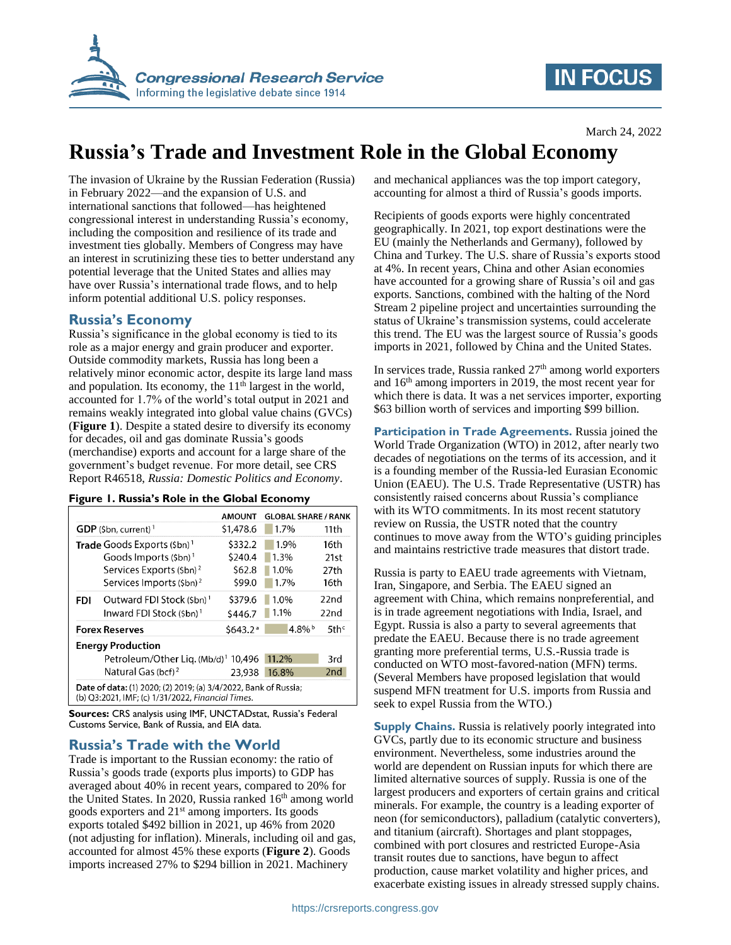

# **IN FOCUS**

# **Russia's Trade and Investment Role in the Global Economy**

The invasion of Ukraine by the Russian Federation (Russia) in February 2022—and the expansion of U.S. and international sanctions that followed—has heightened congressional interest in understanding Russia's economy, including the composition and resilience of its trade and investment ties globally. Members of Congress may have an interest in scrutinizing these ties to better understand any potential leverage that the United States and allies may have over Russia's international trade flows, and to help inform potential additional U.S. policy responses.

## **Russia's Economy**

Russia's significance in the global economy is tied to its role as a major energy and grain producer and exporter. Outside commodity markets, Russia has long been a relatively minor economic actor, despite its large land mass and population. Its economy, the  $11<sup>th</sup>$  largest in the world, accounted for 1.7% of the world's total output in 2021 and remains weakly integrated into global value chains (GVCs) (**Figure 1**). Despite a stated desire to diversify its economy for decades, oil and gas dominate Russia's goods (merchandise) exports and account for a large share of the government's budget revenue. For more detail, see CRS Report R46518, *Russia: Domestic Politics and Economy*.

|  |  |  |  |  |  |  | Figure 1. Russia's Role in the Global Economy |
|--|--|--|--|--|--|--|-----------------------------------------------|
|--|--|--|--|--|--|--|-----------------------------------------------|

|                                                                                                                      |                                                 | <b>AMOUNT</b>        | <b>GLOBAL SHARE / RANK</b> |                     |  |
|----------------------------------------------------------------------------------------------------------------------|-------------------------------------------------|----------------------|----------------------------|---------------------|--|
|                                                                                                                      | $GDP$ (\$bn, current) <sup>1</sup>              | \$1,478.6            | 1.7%                       | 11th                |  |
| <b>Trade</b> Goods Exports (\$bn) <sup>1</sup>                                                                       |                                                 | \$332.2              | 1.9%                       | 16th                |  |
|                                                                                                                      | Goods Imports $(\frac{1}{2}bn)^1$               | \$240.4              | 1.3%                       | 21st                |  |
|                                                                                                                      | Services Exports (\$bn) <sup>2</sup>            | \$62.8               | 1.0%                       | 27th                |  |
|                                                                                                                      | Services Imports (\$bn) <sup>2</sup>            | \$99.0               | 1.7%                       | 16th                |  |
| FDI                                                                                                                  | Outward FDI Stock (Sbn) <sup>1</sup>            | \$379.6              | 1.0%                       | 22nd                |  |
|                                                                                                                      | Inward FDI Stock (\$bn) <sup>1</sup>            | \$446.7              | 1.1%                       | 22n <sub>d</sub>    |  |
|                                                                                                                      | <b>Forex Reserves</b>                           | \$643.2 <sup>a</sup> | $4.8\%$                    | $5$ th <sup>c</sup> |  |
| <b>Energy Production</b>                                                                                             |                                                 |                      |                            |                     |  |
|                                                                                                                      | Petroleum/Other Lig. (Mb/d) <sup>1</sup> 10,496 |                      | 11.2%                      | 3rd                 |  |
|                                                                                                                      | Natural Gas (bcf) <sup>2</sup>                  | 23.938               | 16.8%                      | 2 <sub>nd</sub>     |  |
| Date of data: (1) 2020; (2) 2019; (a) 3/4/2022, Bank of Russia;<br>(b) Q3:2021, IMF; (c) 1/31/2022, Financial Times. |                                                 |                      |                            |                     |  |

**Sources:** CRS analysis using IMF, UNCTADstat, Russia's Federal Customs Service, Bank of Russia, and EIA data.

## **Russia's Trade with the World**

Trade is important to the Russian economy: the ratio of Russia's goods trade (exports plus imports) to GDP has averaged about 40% in recent years, compared to 20% for the United States. In 2020, Russia ranked 16<sup>th</sup> among world goods exporters and 21st among importers. Its goods exports totaled \$492 billion in 2021, up 46% from 2020 (not adjusting for inflation). Minerals, including oil and gas, accounted for almost 45% these exports (**Figure 2**). Goods imports increased 27% to \$294 billion in 2021. Machinery

and mechanical appliances was the top import category, accounting for almost a third of Russia's goods imports.

Recipients of goods exports were highly concentrated geographically. In 2021, top export destinations were the EU (mainly the Netherlands and Germany), followed by China and Turkey. The U.S. share of Russia's exports stood at 4%. In recent years, China and other Asian economies have accounted for a growing share of Russia's oil and gas exports. Sanctions, combined with the halting of the Nord Stream 2 pipeline project and uncertainties surrounding the status of Ukraine's transmission systems, could accelerate this trend. The EU was the largest source of Russia's goods imports in 2021, followed by China and the United States.

In services trade, Russia ranked  $27<sup>th</sup>$  among world exporters and 16<sup>th</sup> among importers in 2019, the most recent year for which there is data. It was a net services importer, exporting \$63 billion worth of services and importing \$99 billion.

**Participation in Trade Agreements.** Russia joined the World Trade Organization (WTO) in 2012, after nearly two decades of negotiations on the terms of its accession, and it is a founding member of the Russia-led Eurasian Economic Union (EAEU). The U.S. Trade Representative (USTR) has consistently raised concerns about Russia's compliance with its WTO commitments. In its most recent statutory review on Russia, the USTR noted that the country continues to move away from the WTO's guiding principles and maintains restrictive trade measures that distort trade.

Russia is party to EAEU trade agreements with Vietnam, Iran, Singapore, and Serbia. The EAEU signed an agreement with China, which remains nonpreferential, and is in trade agreement negotiations with India, Israel, and Egypt. Russia is also a party to several agreements that predate the EAEU. Because there is no trade agreement granting more preferential terms, U.S.-Russia trade is conducted on WTO most-favored-nation (MFN) terms. (Several Members have proposed legislation that would suspend MFN treatment for U.S. imports from Russia and seek to expel Russia from the WTO.)

**Supply Chains.** Russia is relatively poorly integrated into GVCs, partly due to its economic structure and business environment. Nevertheless, some industries around the world are dependent on Russian inputs for which there are limited alternative sources of supply. Russia is one of the largest producers and exporters of certain grains and critical minerals. For example, the country is a leading exporter of neon (for semiconductors), palladium (catalytic converters), and titanium (aircraft). Shortages and plant stoppages, combined with port closures and restricted Europe-Asia transit routes due to sanctions, have begun to affect production, cause market volatility and higher prices, and exacerbate existing issues in already stressed supply chains.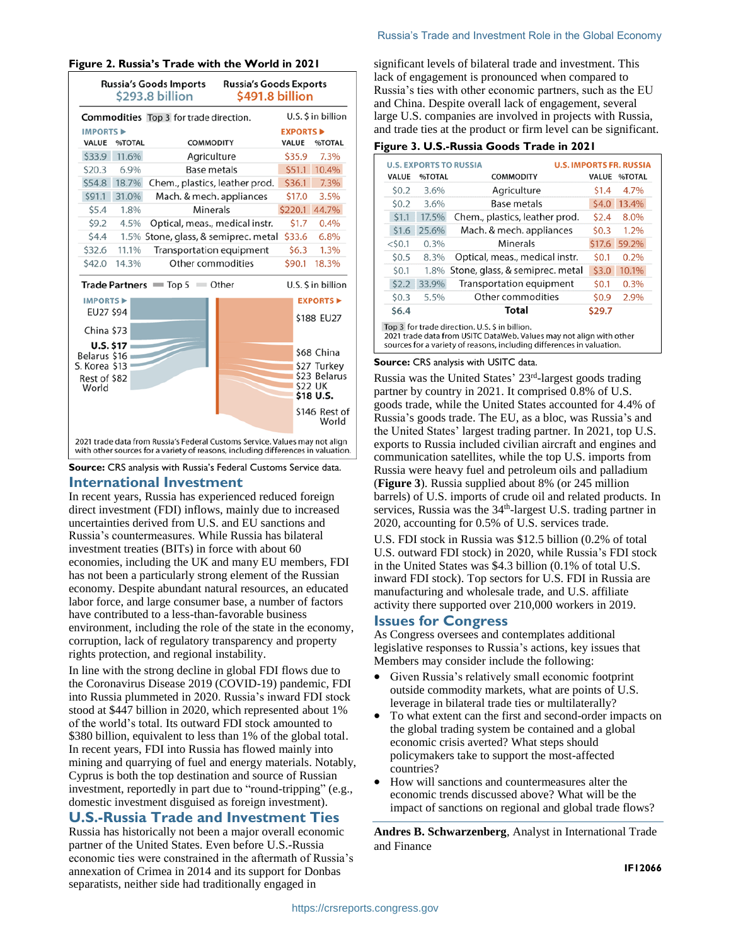|                                                                                                                                                                 | <b>Russia's Goods Imports</b><br><b>Russia's Goods Exports</b><br>\$293.8 billion<br>\$491.8 billion |                                      |         |                  |                             |  |
|-----------------------------------------------------------------------------------------------------------------------------------------------------------------|------------------------------------------------------------------------------------------------------|--------------------------------------|---------|------------------|-----------------------------|--|
|                                                                                                                                                                 | U.S. \$ in billion<br>Commodities Top 3 for trade direction.                                         |                                      |         |                  |                             |  |
| <b>IMPORTS ▶</b>                                                                                                                                                |                                                                                                      |                                      |         | <b>EXPORTS D</b> |                             |  |
| VALUE                                                                                                                                                           | %TOTAL                                                                                               | <b>COMMODITY</b>                     | VALUE   |                  | %TOTAL                      |  |
| \$33.9                                                                                                                                                          | 11.6%                                                                                                | Agriculture                          |         | \$35.9           | 7.3%                        |  |
| \$20.3                                                                                                                                                          | 6.9%                                                                                                 | <b>Base metals</b>                   |         | \$51.1           | 10.4%                       |  |
| \$54.8                                                                                                                                                          | 18.7%                                                                                                | Chem., plastics, leather prod.       |         | \$36.1           | 7.3%                        |  |
| \$91.1                                                                                                                                                          | 31.0%                                                                                                | Mach. & mech. appliances             |         | \$17.0           | 3.5%                        |  |
| \$5.4                                                                                                                                                           | 1.8%                                                                                                 | Minerals                             | \$220.1 |                  | 44.7%                       |  |
| 59.2                                                                                                                                                            | 4.5%                                                                                                 | Optical, meas., medical instr.       |         | \$1.7            | 0.4%                        |  |
| \$4.4                                                                                                                                                           |                                                                                                      | 1.5% Stone, glass, & semiprec. metal |         | \$33.6           | 6.8%                        |  |
| \$32.6                                                                                                                                                          | 11.1%                                                                                                | <b>Transportation equipment</b>      |         | \$6.3            | 1.3%                        |  |
| \$42.0                                                                                                                                                          | 14.3%                                                                                                | Other commodities                    |         | \$90.1           | 18.3%                       |  |
|                                                                                                                                                                 |                                                                                                      | Trade Partners = Top 5<br>≡ Other    |         |                  | U.S. \$ in billion          |  |
| <b>IMPORTS ▶</b>                                                                                                                                                |                                                                                                      |                                      |         |                  | <b>EXPORTS</b>              |  |
| EU27 \$94                                                                                                                                                       |                                                                                                      |                                      |         |                  | \$188 EU27                  |  |
| China \$73                                                                                                                                                      |                                                                                                      |                                      |         |                  |                             |  |
| <b>U.S. \$17</b>                                                                                                                                                |                                                                                                      |                                      |         |                  |                             |  |
| Belarus \$16                                                                                                                                                    |                                                                                                      |                                      |         |                  | \$68 China                  |  |
| S. Korea \$13                                                                                                                                                   |                                                                                                      |                                      |         |                  | \$27 Turkey                 |  |
| Rest of \$82                                                                                                                                                    |                                                                                                      |                                      |         |                  | \$23 Belarus                |  |
| World                                                                                                                                                           |                                                                                                      |                                      |         |                  | <b>\$22 UK</b><br>\$18 U.S. |  |
|                                                                                                                                                                 |                                                                                                      |                                      |         |                  | \$146 Rest of<br>World      |  |
| 2021 trade data from Russia's Federal Customs Service. Values may not align<br>with other sources for a variety of reasons, including differences in valuation. |                                                                                                      |                                      |         |                  |                             |  |

**Source:** CRS analysis with Russia's Federal Customs Service data.

### **International Investment**

In recent years, Russia has experienced reduced foreign direct investment (FDI) inflows, mainly due to increased uncertainties derived from U.S. and EU sanctions and Russia's countermeasures. While Russia has bilateral investment treaties (BITs) in force with about 60 economies, including the UK and many EU members, FDI has not been a particularly strong element of the Russian economy. Despite abundant natural resources, an educated labor force, and large consumer base, a number of factors have contributed to a less-than-favorable business environment, including the role of the state in the economy, corruption, lack of regulatory transparency and property rights protection, and regional instability.

In line with the strong decline in global FDI flows due to the Coronavirus Disease 2019 (COVID-19) pandemic, FDI into Russia plummeted in 2020. Russia's inward FDI stock stood at \$447 billion in 2020, which represented about 1% of the world's total. Its outward FDI stock amounted to \$380 billion, equivalent to less than 1% of the global total. In recent years, FDI into Russia has flowed mainly into mining and quarrying of fuel and energy materials. Notably, Cyprus is both the top destination and source of Russian investment, reportedly in part due to "round-tripping" (e.g., domestic investment disguised as foreign investment).

## **U.S.-Russia Trade and Investment Ties**

Russia has historically not been a major overall economic partner of the United States. Even before U.S.-Russia economic ties were constrained in the aftermath of Russia's annexation of Crimea in 2014 and its support for Donbas separatists, neither side had traditionally engaged in

#### Russia's Trade and Investment Role in the Global Economy

significant levels of bilateral trade and investment. This lack of engagement is pronounced when compared to Russia's ties with other economic partners, such as the EU and China. Despite overall lack of engagement, several large U.S. companies are involved in projects with Russia, and trade ties at the product or firm level can be significant.

#### **Figure 3. U.S.-Russia Goods Trade in 2021**

| <b>U.S. EXPORTS TO RUSSIA</b><br><b>U.S. IMPORTS FR. RUSSIA</b>                                                                                                                                |        |                                      |        |        |
|------------------------------------------------------------------------------------------------------------------------------------------------------------------------------------------------|--------|--------------------------------------|--------|--------|
| VALUE                                                                                                                                                                                          | %TOTAL | <b>COMMODITY</b>                     | VALUE  | %TOTAL |
| \$0.2                                                                                                                                                                                          | 3.6%   | Agriculture                          | \$1.4  | 4.7%   |
| 50.2                                                                                                                                                                                           | 3.6%   | Base metals                          | 54.0   | 13.4%  |
| \$1.1                                                                                                                                                                                          | 17.5%  | Chem., plastics, leather prod.       | \$2.4  | 8.0%   |
| \$1.6                                                                                                                                                                                          | 25.6%  | Mach. & mech. appliances             | \$0.3  | 1.2%   |
| $<$ \$0.1                                                                                                                                                                                      | 0.3%   | Minerals                             | \$17.6 | 59.2%  |
| \$0.5                                                                                                                                                                                          | 8.3%   | Optical, meas., medical instr.       | \$0.1  | 0.2%   |
| \$0.1                                                                                                                                                                                          |        | 1.8% Stone, glass, & semiprec. metal | \$3.0  | 10.1%  |
| \$2.2                                                                                                                                                                                          | 33.9%  | Transportation equipment             | 50.1   | 0.3%   |
| \$0.3                                                                                                                                                                                          | 5.5%   | Other commodities                    | 50.9   | 2.9%   |
| \$6.4                                                                                                                                                                                          |        | Total                                | \$29.7 |        |
| Top 3 for trade direction. U.S. \$ in billion.<br>2021 trade data from USITC DataWeb. Values may not align with other<br>sources for a variety of reasons, including differences in valuation. |        |                                      |        |        |

#### **Source:** CRS analysis with USITC data.

Russia was the United States' 23rd -largest goods trading partner by country in 2021. It comprised 0.8% of U.S. goods trade, while the United States accounted for 4.4% of Russia's goods trade. The EU, as a bloc, was Russia's and the United States' largest trading partner. In 2021, top U.S. exports to Russia included civilian aircraft and engines and communication satellites, while the top U.S. imports from Russia were heavy fuel and petroleum oils and palladium (**Figure 3**). Russia supplied about 8% (or 245 million barrels) of U.S. imports of crude oil and related products. In services, Russia was the  $34<sup>th</sup>$ -largest U.S. trading partner in 2020, accounting for 0.5% of U.S. services trade.

U.S. FDI stock in Russia was \$12.5 billion (0.2% of total U.S. outward FDI stock) in 2020, while Russia's FDI stock in the United States was \$4.3 billion (0.1% of total U.S. inward FDI stock). Top sectors for U.S. FDI in Russia are manufacturing and wholesale trade, and U.S. affiliate activity there supported over 210,000 workers in 2019.

### **Issues for Congress**

As Congress oversees and contemplates additional legislative responses to Russia's actions, key issues that Members may consider include the following:

- Given Russia's relatively small economic footprint outside commodity markets, what are points of U.S. leverage in bilateral trade ties or multilaterally?
- To what extent can the first and second-order impacts on the global trading system be contained and a global economic crisis averted? What steps should policymakers take to support the most-affected countries?
- How will sanctions and countermeasures alter the economic trends discussed above? What will be the impact of sanctions on regional and global trade flows?

**Andres B. Schwarzenberg**, Analyst in International Trade and Finance